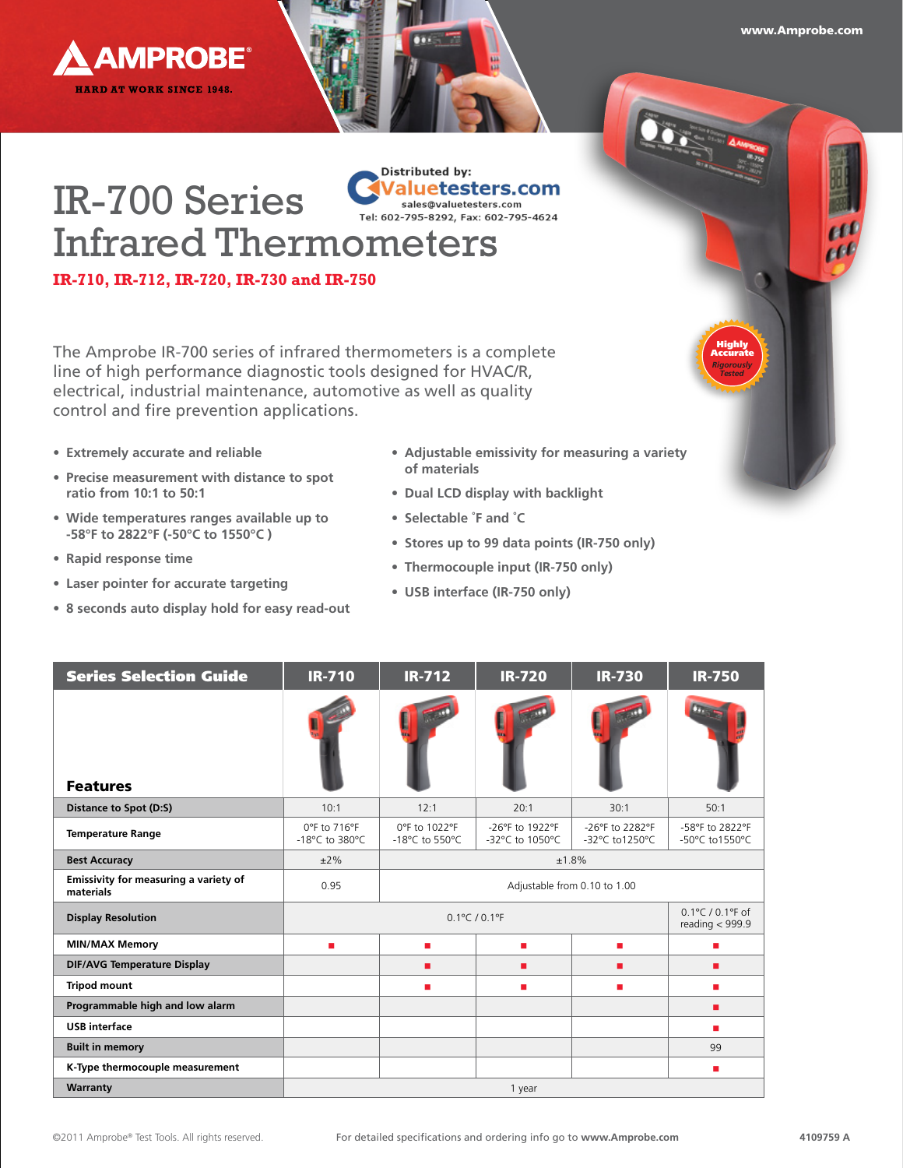

*Rigorously Tested*

Highly Accurate

## **Distributed by:** Valuetesters.com IR-700 Series sales@valuetesters.com sales@valuetesters.com<br>Tel: 602-795-8292, Fax: 602-795-4624 Infrared Thermometers

**IR-710, IR-712, IR-720, IR-730 and IR-750**

**AMPROBE®** 

**HARD AT WORK SINCE 1948.** 

The Amprobe IR-700 series of infrared thermometers is a complete line of high performance diagnostic tools designed for HVAC/R, electrical, industrial maintenance, automotive as well as quality control and fire prevention applications.

- **• Extremely accurate and reliable**
- **• Precise measurement with distance to spot ratio from 10:1 to 50:1**
- **• Wide temperatures ranges available up to -58°F to 2822°F (-50°C to 1550°C )**
- **• Rapid response time**
- **• Laser pointer for accurate targeting**
- **• 8 seconds auto display hold for easy read-out**
- **• Adjustable emissivity for measuring a variety of materials**
- **• Dual LCD display with backlight**
- **• Selectable ˚F and ˚C**
- **• Stores up to 99 data points (IR-750 only)**
- **• Thermocouple input (IR-750 only)**
- **• USB interface (IR-750 only)**

| <b>Series Selection Guide</b>                      | <b>IR-710</b>                                                                        | <b>IR-712</b>                   | <b>IR-720</b>                      | <b>IR-730</b>                     | <b>IR-750</b>                     |  |
|----------------------------------------------------|--------------------------------------------------------------------------------------|---------------------------------|------------------------------------|-----------------------------------|-----------------------------------|--|
| <b>Features</b>                                    |                                                                                      |                                 |                                    |                                   |                                   |  |
| Distance to Spot (D:S)                             | 10:1                                                                                 | 12:1                            | 20:1                               | 30:1                              | 50:1                              |  |
| <b>Temperature Range</b>                           | 0°F to 716°F<br>-18°C to 380°C                                                       | 0°F to 1022°F<br>-18°C to 550°C | -26°F to 1922°F<br>-32°C to 1050°C | -26°F to 2282°F<br>-32°C to1250°C | -58°F to 2822°F<br>-50°C to1550°C |  |
| <b>Best Accuracy</b>                               | $±2\%$                                                                               | ±1.8%                           |                                    |                                   |                                   |  |
| Emissivity for measuring a variety of<br>materials | 0.95                                                                                 | Adjustable from 0.10 to 1.00    |                                    |                                   |                                   |  |
| <b>Display Resolution</b>                          | $0.1^{\circ}$ C / 0.1°F of<br>$0.1^{\circ}$ C / $0.1^{\circ}$ F<br>reading $<$ 999.9 |                                 |                                    |                                   |                                   |  |
| <b>MIN/MAX Memory</b>                              | ٠                                                                                    | ٠                               | ٠                                  | ٠                                 | ٠                                 |  |
| <b>DIF/AVG Temperature Display</b>                 |                                                                                      | п                               | п                                  | п                                 | п                                 |  |
| <b>Tripod mount</b>                                |                                                                                      | ٠                               | ٠                                  | п                                 | ٠                                 |  |
| Programmable high and low alarm                    |                                                                                      |                                 |                                    |                                   | п                                 |  |
| <b>USB</b> interface                               |                                                                                      |                                 |                                    |                                   | п                                 |  |
| <b>Built in memory</b>                             |                                                                                      |                                 |                                    |                                   | 99                                |  |
| K-Type thermocouple measurement                    |                                                                                      |                                 |                                    |                                   | п                                 |  |
| Warranty                                           | 1 year                                                                               |                                 |                                    |                                   |                                   |  |